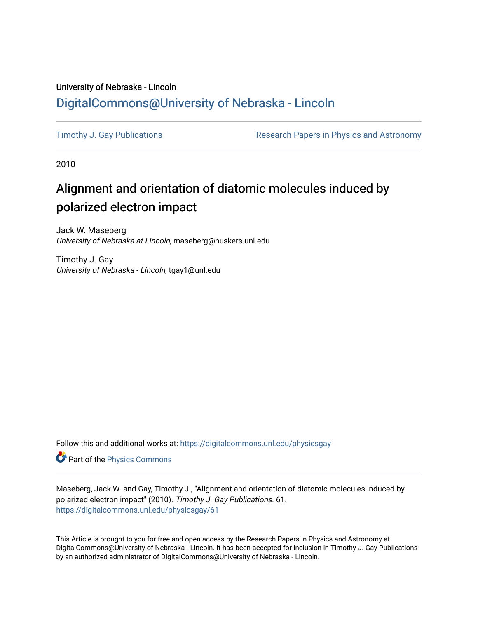# University of Nebraska - Lincoln [DigitalCommons@University of Nebraska - Lincoln](https://digitalcommons.unl.edu/)

[Timothy J. Gay Publications](https://digitalcommons.unl.edu/physicsgay) **Research Papers in Physics and Astronomy** 

2010

# Alignment and orientation of diatomic molecules induced by polarized electron impact

Jack W. Maseberg University of Nebraska at Lincoln, maseberg@huskers.unl.edu

Timothy J. Gay University of Nebraska - Lincoln, tgay1@unl.edu

Follow this and additional works at: [https://digitalcommons.unl.edu/physicsgay](https://digitalcommons.unl.edu/physicsgay?utm_source=digitalcommons.unl.edu%2Fphysicsgay%2F61&utm_medium=PDF&utm_campaign=PDFCoverPages)

Part of the [Physics Commons](http://network.bepress.com/hgg/discipline/193?utm_source=digitalcommons.unl.edu%2Fphysicsgay%2F61&utm_medium=PDF&utm_campaign=PDFCoverPages)

Maseberg, Jack W. and Gay, Timothy J., "Alignment and orientation of diatomic molecules induced by polarized electron impact" (2010). Timothy J. Gay Publications. 61. [https://digitalcommons.unl.edu/physicsgay/61](https://digitalcommons.unl.edu/physicsgay/61?utm_source=digitalcommons.unl.edu%2Fphysicsgay%2F61&utm_medium=PDF&utm_campaign=PDFCoverPages) 

This Article is brought to you for free and open access by the Research Papers in Physics and Astronomy at DigitalCommons@University of Nebraska - Lincoln. It has been accepted for inclusion in Timothy J. Gay Publications by an authorized administrator of DigitalCommons@University of Nebraska - Lincoln.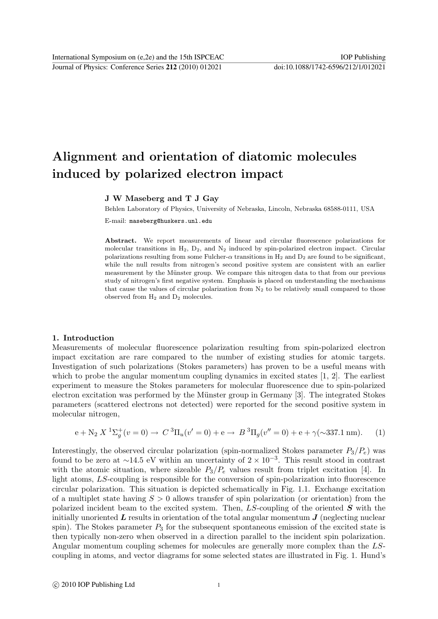Journal of Physics: Conference Series **212** (2010) 012021 doi:10.1088/1742-6596/212/1/012021

# Alignment and orientation of diatomic molecules induced by polarized electron impact

# J W Maseberg and T J Gay

Behlen Laboratory of Physics, University of Nebraska, Lincoln, Nebraska 68588-0111, USA E-mail: maseberg@huskers.unl.edu

Abstract. We report measurements of linear and circular fluorescence polarizations for molecular transitions in  $H_2$ ,  $D_2$ , and  $N_2$  induced by spin-polarized electron impact. Circular polarizations resulting from some Fulcher- $\alpha$  transitions in H<sub>2</sub> and D<sub>2</sub> are found to be significant, while the null results from nitrogen's second positive system are consistent with an earlier measurement by the Münster group. We compare this nitrogen data to that from our previous study of nitrogen's first negative system. Emphasis is placed on understanding the mechanisms that cause the values of circular polarization from  $N_2$  to be relatively small compared to those observed from  $H_2$  and  $D_2$  molecules.

## 1. Introduction

Measurements of molecular fluorescence polarization resulting from spin-polarized electron impact excitation are rare compared to the number of existing studies for atomic targets. Investigation of such polarizations (Stokes parameters) has proven to be a useful means with which to probe the angular momentum coupling dynamics in excited states [1, 2]. The earliest experiment to measure the Stokes parameters for molecular fluorescence due to spin-polarized electron excitation was performed by the Münster group in Germany [3]. The integrated Stokes parameters (scattered electrons not detected) were reported for the second positive system in molecular nitrogen,

$$
e + N_2 X^{1} \Sigma_g^{+}(v = 0) \to C^{3} \Pi_u(v' = 0) + e \to B^{3} \Pi_g(v'' = 0) + e + \gamma(\sim 337.1 \text{ nm}). \tag{1}
$$

Interestingly, the observed circular polarization (spin-normalized Stokes parameter  $P_3/P_e$ ) was found to be zero at ~14.5 eV within an uncertainty of  $2 \times 10^{-3}$ . This result stood in contrast with the atomic situation, where sizeable  $P_3/P_e$  values result from triplet excitation [4]. In light atoms, LS-coupling is responsible for the conversion of spin-polarization into fluorescence circular polarization. This situation is depicted schematically in Fig. 1.1. Exchange excitation of a multiplet state having  $S > 0$  allows transfer of spin polarization (or orientation) from the polarized incident beam to the excited system. Then,  $LS$ -coupling of the oriented  $S$  with the initially unoriented  $\bm{L}$  results in orientation of the total angular momentum  $\bm{J}$  (neglecting nuclear spin). The Stokes parameter  $P_3$  for the subsequent spontaneous emission of the excited state is then typically non-zero when observed in a direction parallel to the incident spin polarization. Angular momentum coupling schemes for molecules are generally more complex than the LScoupling in atoms, and vector diagrams for some selected states are illustrated in Fig. 1. Hund's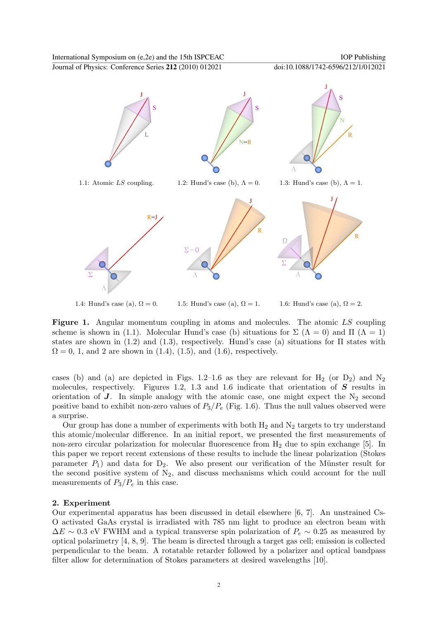Journal of Physics: Conference Series **212** (2010) 012021 doi:10.1088/1742-6596/212/1/012021



1.4: Hund's case (a),  $\Omega = 0$ . 1.5: Hund's case (a),  $\Omega = 1$ . 1.6: Hund's case (a),  $\Omega = 2$ .

Figure 1. Angular momentum coupling in atoms and molecules. The atomic LS coupling scheme is shown in (1.1). Molecular Hund's case (b) situations for  $\Sigma(\Lambda = 0)$  and  $\Pi(\Lambda = 1)$ states are shown in (1.2) and (1.3), respectively. Hund's case (a) situations for  $\Pi$  states with  $\Omega = 0, 1, \text{ and } 2 \text{ are shown in (1.4), (1.5), and (1.6), respectively.}$ 

cases (b) and (a) are depicted in Figs. 1.2–1.6 as they are relevant for  $H_2$  (or  $D_2$ ) and  $N_2$ molecules, respectively. Figures 1.2, 1.3 and 1.6 indicate that orientation of  $S$  results in orientation of  $J$ . In simple analogy with the atomic case, one might expect the  $N_2$  second positive band to exhibit non-zero values of  $P_3/P_e$  (Fig. 1.6). Thus the null values observed were a surprise.

Our group has done a number of experiments with both  $H_2$  and  $N_2$  targets to try understand this atomic/molecular difference. In an initial report, we presented the first measurements of non-zero circular polarization for molecular fluorescence from  $H_2$  due to spin exchange [5]. In this paper we report recent extensions of these results to include the linear polarization (Stokes parameter  $P_1$ ) and data for  $D_2$ . We also present our verification of the Münster result for the second positive system of  $N_2$ , and discuss mechanisms which could account for the null measurements of  $P_3/P_e$  in this case.

## 2. Experiment

Our experimental apparatus has been discussed in detail elsewhere [6, 7]. An unstrained Cs-O activated GaAs crystal is irradiated with 785 nm light to produce an electron beam with  $\Delta E \sim 0.3$  eV FWHM and a typical transverse spin polarization of  $P_e \sim 0.25$  as measured by optical polarimetry [4, 8, 9]. The beam is directed through a target gas cell; emission is collected perpendicular to the beam. A rotatable retarder followed by a polarizer and optical bandpass filter allow for determination of Stokes parameters at desired wavelengths [10].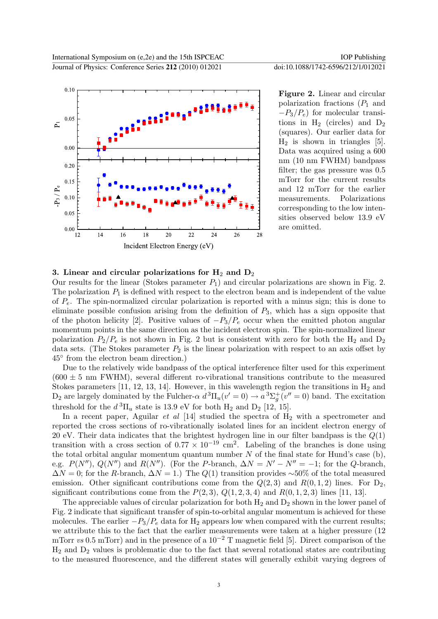

Figure 2. Linear and circular polarization fractions  $(P_1 \text{ and }$  $-P_3/P_e$ ) for molecular transitions in  $H_2$  (circles) and  $D_2$ (squares). Our earlier data for  $H_2$  is shown in triangles [5]. Data was acquired using a 600 nm (10 nm FWHM) bandpass filter; the gas pressure was 0.5 mTorr for the current results and 12 mTorr for the earlier measurements. Polarizations corresponding to the low intensities observed below 13.9 eV are omitted.

### 3. Linear and circular polarizations for  $H_2$  and  $D_2$

Our results for the linear (Stokes parameter  $P_1$ ) and circular polarizations are shown in Fig. 2. The polarization  $P_1$  is defined with respect to the electron beam and is independent of the value of  $P_e$ . The spin-normalized circular polarization is reported with a minus sign; this is done to eliminate possible confusion arising from the definition of  $P_3$ , which has a sign opposite that of the photon helicity [2]. Positive values of  $-P_3/P_e$  occur when the emitted photon angular momentum points in the same direction as the incident electron spin. The spin-normalized linear polarization  $P_2/P_e$  is not shown in Fig. 2 but is consistent with zero for both the H<sub>2</sub> and D<sub>2</sub> data sets. (The Stokes parameter  $P_2$  is the linear polarization with respect to an axis offset by 45◦ from the electron beam direction.)

Due to the relatively wide bandpass of the optical interference filter used for this experiment  $(600 \pm 5 \text{ nm} )$ , several different ro-vibrational transitions contribute to the measured Stokes parameters [11, 12, 13, 14]. However, in this wavelength region the transitions in  $H_2$  and D<sub>2</sub> are largely dominated by the Fulcher- $\alpha d^3\Pi_u(v'=0) \rightarrow a^3\Sigma_g^+$  $\overline{g}(\overline{v''}=0)$  band. The excitation threshold for the  $d^3\Pi_u$  state is 13.9 eV for both  $H_2$  and  $D_2$  [12, 15].

In a recent paper, Aguilar  $et$  al  $[14]$  studied the spectra of  $H_2$  with a spectrometer and reported the cross sections of ro-vibrationally isolated lines for an incident electron energy of 20 eV. Their data indicates that the brightest hydrogen line in our filter bandpass is the  $Q(1)$ transition with a cross section of  $0.77 \times 10^{-19}$  cm<sup>2</sup>. Labeling of the branches is done using the total orbital angular momentum quantum number  $N$  of the final state for Hund's case (b), e.g.  $P(N'')$ ,  $Q(N'')$  and  $R(N'')$ . (For the P-branch,  $\Delta N = N' - N'' = -1$ ; for the Q-branch,  $\Delta N = 0$ ; for the R-branch,  $\Delta N = 1$ .) The  $Q(1)$  transition provides ~50% of the total measured emission. Other significant contributions come from the  $Q(2,3)$  and  $R(0,1,2)$  lines. For  $D_2$ , significant contributions come from the  $P(2, 3), Q(1, 2, 3, 4)$  and  $R(0, 1, 2, 3)$  lines [11, 13].

The appreciable values of circular polarization for both  $H_2$  and  $D_2$  shown in the lower panel of Fig. 2 indicate that significant transfer of spin-to-orbital angular momentum is achieved for these molecules. The earlier  $-P_3/P_e$  data for H<sub>2</sub> appears low when compared with the current results; we attribute this to the fact that the earlier measurements were taken at a higher pressure (12 mTorr vs 0.5 mTorr) and in the presence of a  $10^{-2}$  T magnetic field [5]. Direct comparison of the  $H_2$  and  $D_2$  values is problematic due to the fact that several rotational states are contributing to the measured fluorescence, and the different states will generally exhibit varying degrees of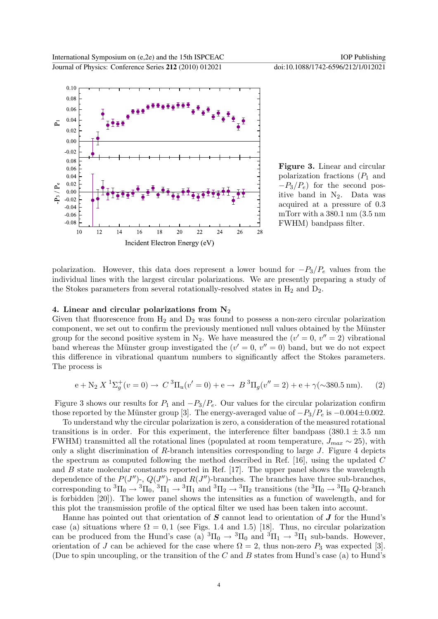

Figure 3. Linear and circular polarization fractions  $(P_1 \text{ and }$  $-P_3/P_e$ ) for the second positive band in  $N_2$ . Data was acquired at a pressure of 0.3 mTorr with a 380.1 nm (3.5 nm FWHM) bandpass filter.

polarization. However, this data does represent a lower bound for  $-P_3/P_e$  values from the individual lines with the largest circular polarizations. We are presently preparing a study of the Stokes parameters from several rotationally-resolved states in  $H_2$  and  $D_2$ .

#### 4. Linear and circular polarizations from  $N_2$

Given that fluorescence from  $H_2$  and  $D_2$  was found to possess a non-zero circular polarization component, we set out to confirm the previously mentioned null values obtained by the Münster group for the second positive system in N<sub>2</sub>. We have measured the  $(v' = 0, v'' = 2)$  vibrational band whereas the Münster group investigated the  $(v' = 0, v'' = 0)$  band, but we do not expect this difference in vibrational quantum numbers to significantly affect the Stokes parameters. The process is

$$
e + N_2 X^{1} \Sigma_g^{+}(v = 0) \to C^{3} \Pi_u(v' = 0) + e \to B^{3} \Pi_g(v'' = 2) + e + \gamma(\sim 380.5 \text{ nm}). \tag{2}
$$

Figure 3 shows our results for  $P_1$  and  $-P_3/P_e$ . Our values for the circular polarization confirm those reported by the Münster group [3]. The energy-averaged value of  $-P_3/P_e$  is  $-0.004\pm0.002$ .

To understand why the circular polarization is zero, a consideration of the measured rotational transitions is in order. For this experiment, the interference filter bandpass (380.1  $\pm$  3.5 nm FWHM) transmitted all the rotational lines (populated at room temperature,  $J_{max} \sim 25$ ), with only a slight discrimination of  $R$ -branch intensities corresponding to large  $J$ . Figure 4 depicts the spectrum as computed following the method described in Ref.  $[16]$ , using the updated C and  $B$  state molecular constants reported in Ref. [17]. The upper panel shows the wavelength dependence of the  $P(J'')$ -,  $Q(J'')$ - and  $R(J'')$ -branches. The branches have three sub-branches, corresponding to  ${}^3\Pi_0 \rightarrow {}^3\Pi_0, {}^3\Pi_1 \rightarrow {}^3\Pi_1$  and  ${}^3\Pi_2 \rightarrow {}^3\Pi_2$  transitions (the  ${}^3\Pi_0 \rightarrow {}^3\Pi_0$  Q-branch is forbidden [20]). The lower panel shows the intensities as a function of wavelength, and for this plot the transmission profile of the optical filter we used has been taken into account.

Hanne has pointed out that orientation of  $S$  cannot lead to orientation of  $J$  for the Hund's case (a) situations where  $\Omega = 0, 1$  (see Figs. 1.4 and 1.5) [18]. Thus, no circular polarization can be produced from the Hund's case (a)  ${}^3\Pi_0 \rightarrow {}^3\Pi_0$  and  ${}^3\Pi_1 \rightarrow {}^3\Pi_1$  sub-bands. However, orientation of J can be achieved for the case where  $\Omega = 2$ , thus non-zero  $P_3$  was expected [3]. (Due to spin uncoupling, or the transition of the  $C$  and  $B$  states from Hund's case (a) to Hund's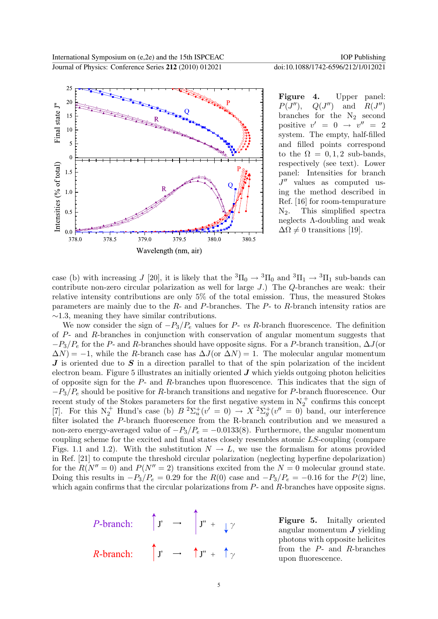

Figure 4. Upper panel:  $P(J''),$  $Q(J'')$  $\ell$ ) and  $R(J'')$ branches for the  $N_2$  second positive  $v' = 0 \rightarrow v'' = 2$ system. The empty, half-filled and filled points correspond to the  $\Omega = 0, 1, 2$  sub-bands, respectively (see text). Lower panel: Intensities for branch  $J''$  values as computed using the method described in Ref. [16] for room-tempurature N2. This simplified spectra neglects Λ-doubling and weak  $\Delta\Omega \neq 0$  transitions [19].

case (b) with increasing J [20], it is likely that the  ${}^{3}H_0 \rightarrow {}^{3}H_0$  and  ${}^{3}H_1 \rightarrow {}^{3}H_1$  sub-bands can contribute non-zero circular polarization as well for large J.) The Q-branches are weak: their relative intensity contributions are only 5% of the total emission. Thus, the measured Stokes parameters are mainly due to the  $R$ - and  $P$ -branches. The  $P$ - to  $R$ -branch intensity ratios are  $\sim$ 1.3, meaning they have similar contributions.

We now consider the sign of  $-P_3/P_e$  values for P- vs R-branch fluorescence. The definition of P- and R-branches in conjunction with conservation of angular momentum suggests that  $-P_3/P_e$  for the P- and R-branches should have opposite signs. For a P-branch transition,  $\Delta J$ (or  $\Delta N$ ) = −1, while the R-branch case has  $\Delta J$ (or  $\Delta N$ ) = 1. The molecular angular momentum  $J$  is oriented due to  $S$  in a direction parallel to that of the spin polarization of the incident electron beam. Figure 5 illustrates an initially oriented  $J$  which yields outgoing photon helicities of opposite sign for the  $P$ - and  $R$ -branches upon fluorescence. This indicates that the sign of  $-P_3/P_e$  should be positive for R-branch transitions and negative for P-branch fluorescence. Our recent study of the Stokes parameters for the first negative system in  $N_2^+$  confirms this concept [7]. For this  $N_2^+$  Hund's case (b)  $B^2\Sigma_u^+$  $u^+(v' = 0) \rightarrow X^2 \Sigma_g^+$  $g^+(v'' = 0)$  band, our interference filter isolated the P-branch fluorescence from the R-branch contribution and we measured a non-zero energy-averaged value of  $-P_3/P_e = -0.0133(8)$ . Furthermore, the angular momentum coupling scheme for the excited and final states closely resembles atomic LS-coupling (compare Figs. 1.1 and 1.2). With the substitution  $N \to L$ , we use the formalism for atoms provided in Ref. [21] to compute the threshold circular polarization (neglecting hyperfine depolarization) for the  $R(N''=0)$  and  $P(N''=2)$  transitions excited from the  $N=0$  molecular ground state. Doing this results in  $-P_3/P_e = 0.29$  for the  $R(0)$  case and  $-P_3/P_e = -0.16$  for the  $P(2)$  line, which again confirms that the circular polarizations from  $P$ - and  $R$ -branches have opposite signs.

*P*-branch: 
$$
\uparrow
$$
  $\uparrow$   $\rightarrow$   $\uparrow$   $\uparrow$   $\uparrow$   $\downarrow$   $\gamma$   
\n*R*-branch:  $\uparrow$   $\uparrow$   $\rightarrow$   $\uparrow$   $\uparrow$   $\uparrow$   $\uparrow$   $\uparrow$   $\uparrow$ 

Figure 5. Initally oriented angular momentum  $J$  yielding photons with opposite helicites from the P- and R-branches upon fluorescence.